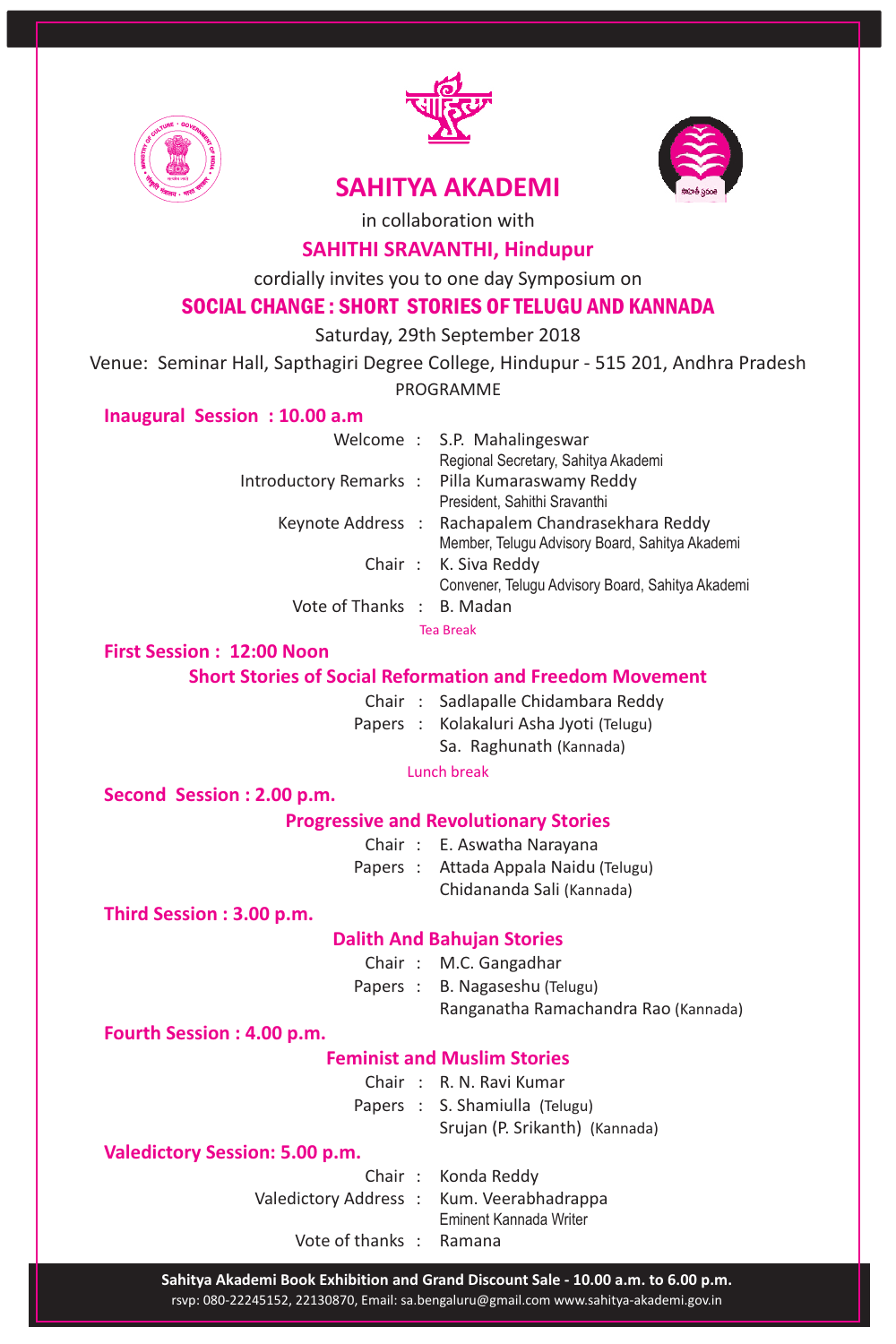



# **SAHITYA AKADEMI**



in collaboration with

## **SAHITHI SRAVANTHI, Hindupur**

cordially invites you to one day Symposium on

## SOCIAL CHANGE : SHORT STORIES OF TELUGU AND KANNADA

Saturday, 29th September 2018

Venue: Seminar Hall, Sapthagiri Degree College, Hindupur - 515 201, Andhra Pradesh

PROGRAMME

## **Inaugural Session : 10.00 a.m**

|                           | Welcome: S.P. Mahalingeswar                       |
|---------------------------|---------------------------------------------------|
|                           | Regional Secretary, Sahitya Akademi               |
|                           | Introductory Remarks: Pilla Kumaraswamy Reddy     |
|                           | President, Sahithi Sravanthi                      |
|                           | Keynote Address : Rachapalem Chandrasekhara Reddy |
|                           | Member, Telugu Advisory Board, Sahitya Akademi    |
|                           | Chair: K. Siva Reddy                              |
|                           | Convener, Telugu Advisory Board, Sahitya Akademi  |
| Vote of Thanks : B. Madan |                                                   |
|                           |                                                   |

Tea Break

### **First Session : 12:00 Noon**

## **Short Stories of Social Reformation and Freedom Movement**

- Chair : Sadlapalle Chidambara Reddy
- Papers : Kolakaluri Asha Jyoti (Telugu)
	- Sa. Raghunath (Kannada)

Lunch break

**Second Session : 2.00 p.m.**

### **Progressive and Revolutionary Stories**

- Chair : E. Aswatha Narayana
- Papers : Attada Appala Naidu (Telugu)
	- Chidananda Sali (Kannada)

**Third Session : 3.00 p.m.**

### **Dalith And Bahujan Stories**

- Chair : M.C. Gangadhar
- Papers : B. Nagaseshu (Telugu)

Ranganatha Ramachandra Rao (Kannada)

**Fourth Session : 4.00 p.m.**

### **Feminist and Muslim Stories**

- Chair : R. N. Ravi Kumar
- Papers : S. Shamiulla (Telugu)
	- Srujan (P. Srikanth) (Kannada)

### **Valedictory Session: 5.00 p.m.**

- Chair : Konda Reddy
- Valedictory Address : Kum. Veerabhadrappa
	- Eminent Kannada Writer
	- Vote of thanks : Ramana

rsvp: 080-22245152, 22130870, Email: sa.bengaluru@gmail.com www.sahitya-akademi.gov.in **Sahitya Akademi Book Exhibition and Grand Discount Sale - 10.00 a.m. to 6.00 p.m.**